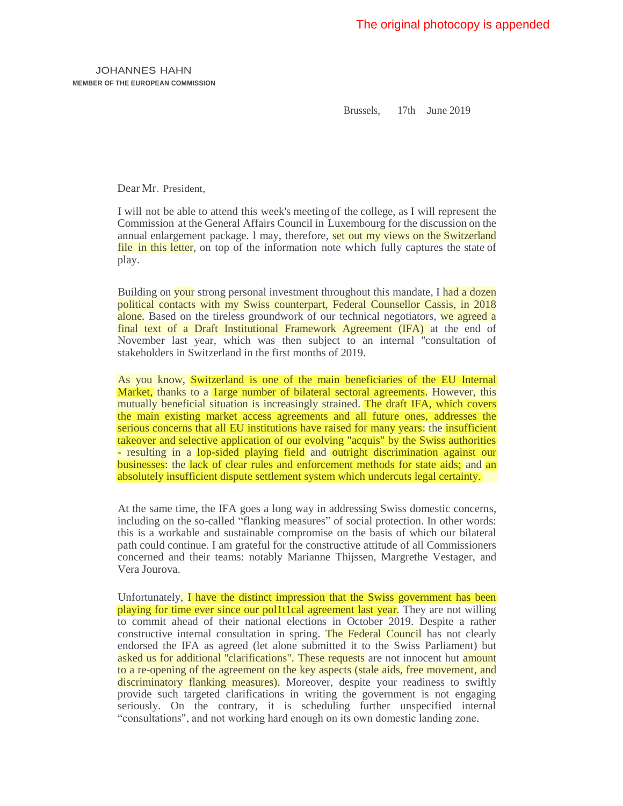JOHANNES HAHN **MEMBER OF THE EUROPEAN COMMISSION**

Brussels, 17th June 2019

Dear Mr. President.

I will not be able to attend this week's meeting of the college, as I will represent the Commission at the General Affairs Council in Luxembourg for the discussion on the annual enlargement package. **1** may, therefore, set out my views on the Switzerland file in this letter, on top of the information note which fully captures the state of play.

Building on your strong personal investment throughout this mandate, I had a dozen political contacts with my Swiss counterpart, Federal Counsellor Cassis, in 2018 alone. Based on the tireless groundwork of our technical negotiators, we agreed a final text of a Draft Institutional Framework Agreement (IFA) at the end of November last year, which was then subject to an internal ''consultation of stakeholders in Switzerland in the first months of 2019.

As you know, Switzerland is one of the main beneficiaries of the EU Internal Market, thanks to a large number of bilateral sectoral agreements. However, this mutually beneficial situation is increasingly strained. The draft IFA, which covers the main existing market access agreements and all future ones, addresses the serious concerns that all EU institutions have raised for many years: the insufficient takeover and selective application of our evolving "acquis" by the Swiss authorities - resulting in a lop-sided playing field and outright discrimination against our businesses: the lack of clear rules and enforcement methods for state aids; and an absolutely insufficient dispute settlement system which undercuts legal certainty.

At the same time, the IFA goes a long way in addressing Swiss domestic concerns, including on the so-called "flanking measures" of social protection. In other words: this is a workable and sustainable compromise on the basis of which our bilateral path could continue. I am grateful for the constructive attitude of all Commissioners concerned and their teams: notably Marianne Thijssen, Margrethe Vestager, and Vera Jourova.

Unfortunately, I have the distinct impression that the Swiss government has been playing for time ever since our pol1t1cal agreement last year. They are not willing to commit ahead of their national elections in October 2019. Despite a rather constructive internal consultation in spring. The Federal Council has not clearly endorsed the IFA as agreed (let alone submitted it to the Swiss Parliament) but asked us for additional "clarifications". These requests are not innocent hut amount to a re-opening of the agreement on the key aspects (stale aids, free movement, and discriminatory flanking measures). Moreover, despite your readiness to swiftly provide such targeted clarifications in writing the government is not engaging seriously. On the contrary, it is scheduling further unspecified internal "consultations", and not working hard enough on its own domestic landing zone.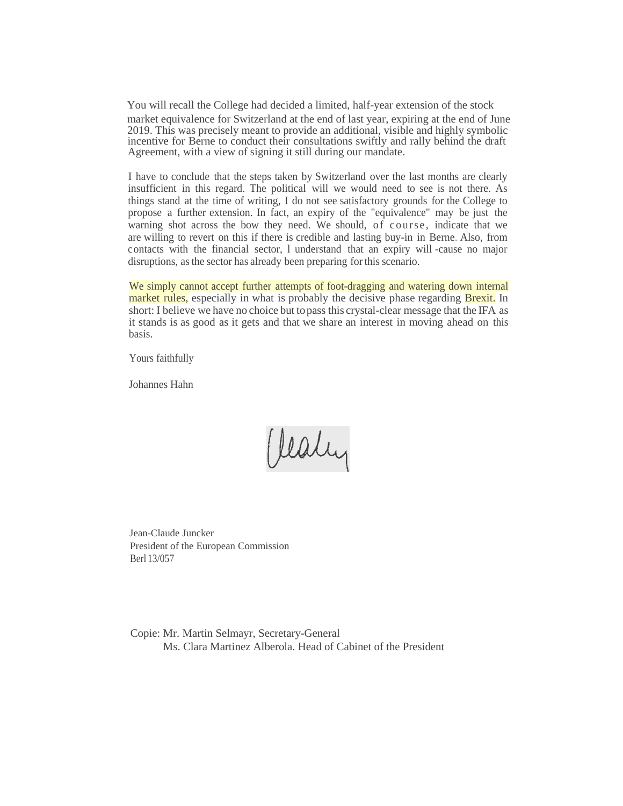You will recall the College had decided a limited, half-year extension of the stock market equivalence for Switzerland at the end of last year, expiring at the end of June 2019. This was precisely meant to provide an additional, visible and highly symbolic incentive for Berne to conduct their consultations swiftly and rally behind the draft Agreement, with a view of signing it still during our mandate.

I have to conclude that the steps taken by Switzerland over the last months are clearly insufficient in this regard. The political will we would need to see is not there. As things stand at the time of writing, I do not see satisfactory grounds for the College to propose a further extension. In fact, an expiry of the "equivalence" may be just the warning shot across the bow they need. We should, of course, indicate that we are willing to revert on this if there is credible and lasting buy-in in Berne. Also, from contacts with the financial sector, l understand that an expiry will -cause no major disruptions, asthe sector has already been preparing forthis scenario.

We simply cannot accept further attempts of foot-dragging and watering down internal market rules, especially in what is probably the decisive phase regarding **Brexit**. In short: I believe we have no choice but topass this crystal-clear message that the IFA as it stands is as good as it gets and that we share an interest in moving ahead on this basis.

Yours faithfully

Johannes Hahn

Vealy

Jean-Claude Juncker President of the European Commission Berl 13/057

Copie: Mr. Martin Selmayr, Secretary-General Ms. Clara Martinez Alberola. Head of Cabinet of the President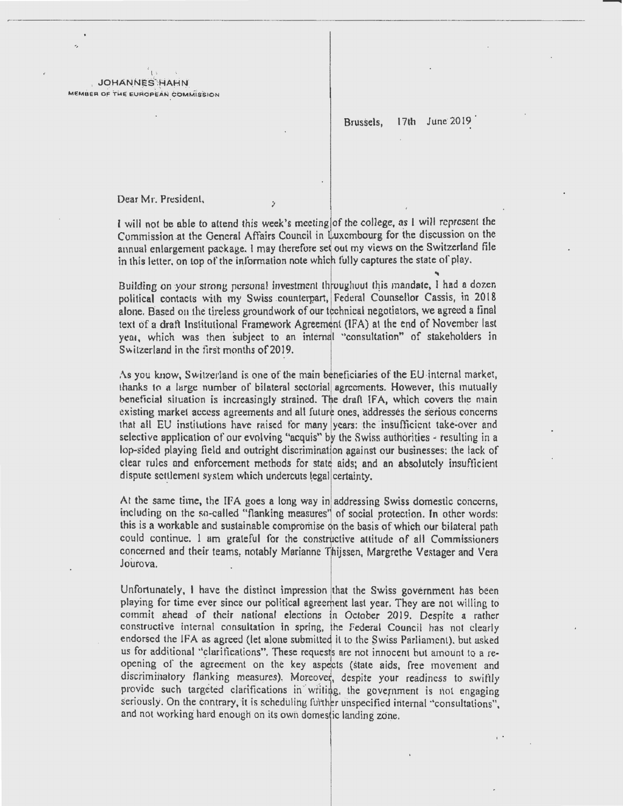ίı **JOHANNES HAHN** MEMBER OF THE EUROPEAN COMMISSION

> Brussels.  $17th$ June 2019

Dear Mr. President,

I will not be able to attend this week's meeting of the college, as I will represent the Commission at the General Affairs Council in Luxembourg for the discussion on the annual enlargement package. I may therefore set out my views on the Switzerland file in this letter, on top of the information note which fully captures the state of play.

 $\mathbf{r}$ 

Building on your strong personal investment throughout this mandate, I had a dozen political contacts with my Swiss counterpart, Federal Counsellor Cassis, in 2018 alone. Based on the tireless groundwork of our technical negotiators, we agreed a final text of a draft Institutional Framework Agreement (IFA) at the end of November last year, which was then subject to an internal "consultation" of stakeholders in Switzerland in the first months of 2019.

As you know, Switzerland is one of the main beneficiaries of the EU internal market, thanks to a large number of bilateral sectorial agreements. However, this mutually beneficial situation is increasingly strained. The draft IFA, which covers the main existing market access agreements and all future ones, addresses the serious concerns that all EU institutions have raised for many years: the insufficient take-over and selective application of our evolving "acquis" by the Swiss authorities - resulting in a lop-sided playing field and outright discrimination against our businesses; the lack of clear rules and enforcement methods for state aids; and an absolutely insufficient dispute settlement system which undercuts legal certainty.

At the same time, the IFA goes a long way in addressing Swiss domestic concerns, including on the so-called "flanking measures" of social protection. In other words: this is a workable and sustainable compromise on the basis of which our bilateral path could continue. I am grateful for the constructive attitude of all Commissioners concerned and their teams, notably Marianne Thijssen, Margrethe Vestager and Vera Jourova.

Unfortunately, I have the distinct impression that the Swiss government has been playing for time ever since our political agreement last year. They are not willing to commit ahead of their national elections in October 2019. Despite a rather constructive internal consultation in spring, the Federal Council has not clearly endorsed the IFA as agreed (let alone submitted it to the Swiss Parliament), but asked us for additional "clarifications". These requests are not innocent but amount to a reopening of the agreement on the key aspects (state aids, free movement and discriminatory flanking measures). Moreover, despite your readiness to swiftly provide such targeted clarifications in writing, the government is not engaging seriously. On the contrary, it is scheduling further unspecified internal "consultations". and not working hard enough on its own domestic landing zone.

 $\mathbf{r}$